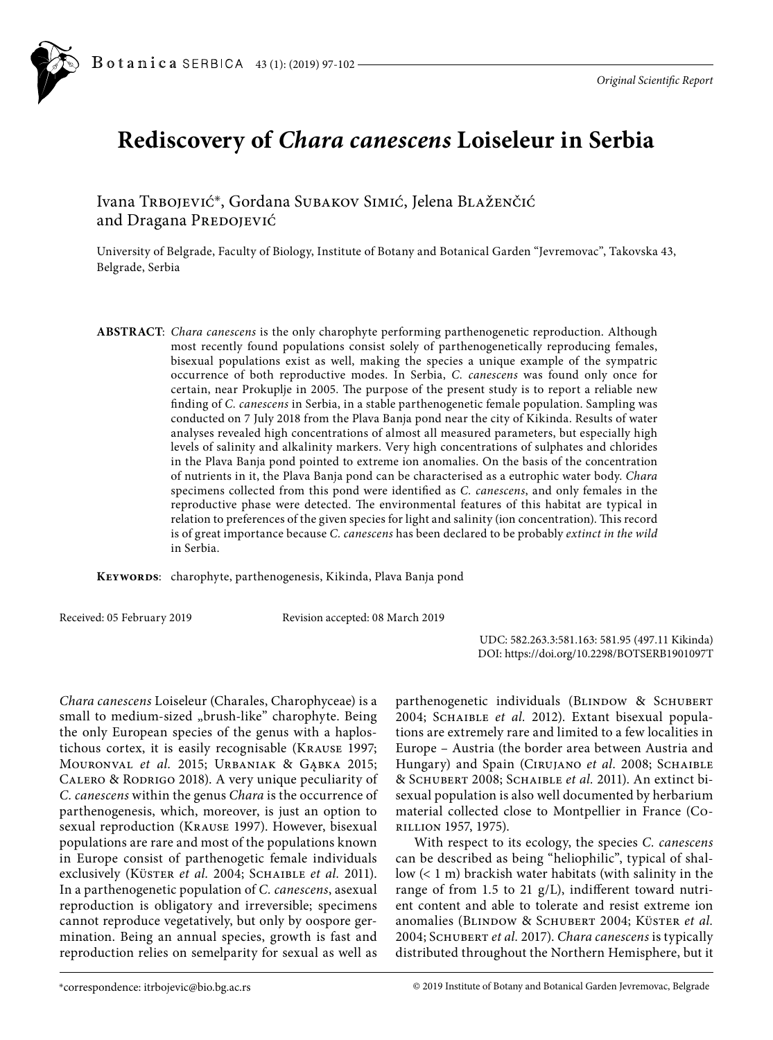

## **Rediscovery of** *Chara canescens* **Loiseleur in Serbia**

Ivana Trbojević\*, Gordana Subakov Simić, Jelena Blaženčić and Dragana PREDOJEVIĆ

University of Belgrade, Faculty of Biology, Institute of Botany and Botanical Garden "Jevremovac", Takovska 43, Belgrade, Serbia

**ABSTRACT**: *Chara canescens* is the only charophyte performing parthenogenetic reproduction. Although most recently found populations consist solely of parthenogenetically reproducing females, bisexual populations exist as well, making the species a unique example of the sympatric occurrence of both reproductive modes. In Serbia, *C. canescens* was found only once for certain, near Prokuplje in 2005. The purpose of the present study is to report a reliable new finding of *C. canescens* in Serbia, in a stable parthenogenetic female population. Sampling was conducted on 7 July 2018 from the Plava Banja pond near the city of Kikinda. Results of water analyses revealed high concentrations of almost all measured parameters, but especially high levels of salinity and alkalinity markers. Very high concentrations of sulphates and chlorides in the Plava Banja pond pointed to extreme ion anomalies. On the basis of the concentration of nutrients in it, the Plava Banja pond can be characterised as a eutrophic water body. *Chara* specimens collected from this pond were identified as *C. canescens*, and only females in the reproductive phase were detected. The environmental features of this habitat are typical in relation to preferences of the given species for light and salinity (ion concentration). This record is of great importance because *C. canescens* has been declared to be probably *extinct in the wild*  in Serbia.

**Keywords**: charophyte, parthenogenesis, Kikinda, Plava Banja pond

Received: 05 February 2019 Revision accepted: 08 March 2019

UDC: 582.263.3:581.163: 581.95 (497.11 Kikinda) DOI: https://doi.org/10.2298/BOTSERB1901097T

*Chara canescens* Loiseleur (Charales, Charophyceae) is a small to medium-sized "brush-like" charophyte. Being the only European species of the genus with a haplostichous cortex, it is easily recognisable (Krause 1997; Mouronval *et al.* 2015; Urbaniak & Gąbka 2015; Calero & Rodrigo 2018). A very unique peculiarity of *C. canescens* within the genus *Chara* is the occurrence of parthenogenesis, which, moreover, is just an option to sexual reproduction (Krause 1997). However, bisexual populations are rare and most of the populations known in Europe consist of parthenogetic female individuals exclusively (KÜSTER et al. 2004; SCHAIBLE et al. 2011). In a parthenogenetic population of *C. canescens*, asexual reproduction is obligatory and irreversible; specimens cannot reproduce vegetatively, but only by oospore germination. Being an annual species, growth is fast and reproduction relies on semelparity for sexual as well as

parthenogenetic individuals (BLINDOW & SCHUBERT 2004; Schaible *et al.* 2012). Extant bisexual populations are extremely rare and limited to a few localities in Europe – Austria (the border area between Austria and Hungary) and Spain (CIRUJANO et al. 2008; SCHAIBLE & Schubert 2008; Schaible *et al.* 2011). An extinct bisexual population is also well documented by herbarium material collected close to Montpellier in France (Corillion 1957, 1975).

With respect to its ecology, the species *C. canescens* can be described as being "heliophilic", typical of shallow (< 1 m) brackish water habitats (with salinity in the range of from 1.5 to 21 g/L), indifferent toward nutrient content and able to tolerate and resist extreme ion anomalies (Blindow & Schubert 2004; Küster *et al.* 2004; Schubert *et al.* 2017). *Chara canescens* is typically distributed throughout the Northern Hemisphere, but it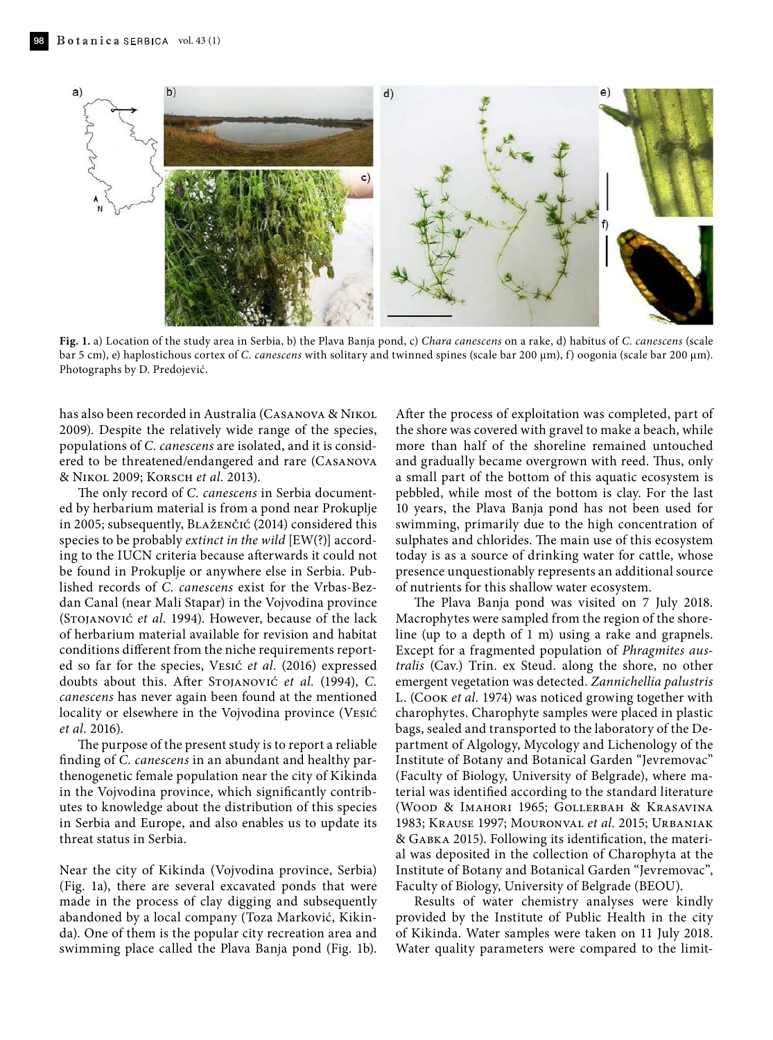

**Fig. 1.** a) Location of the study area in Serbia, b) the Plava Banja pond, c) *Chara canescens* on a rake, d) habitus of *C. canescens* (scale bar 5 cm), e) haplostichous cortex of *C. canescens* with solitary and twinned spines (scale bar 200 µm), f) oogonia (scale bar 200 µm). Photographs by D. Predojević.

has also been recorded in Australia (Casanova & Nikol 2009). Despite the relatively wide range of the species, populations of *C. canescens* are isolated, and it is considered to be threatened/endangered and rare (Casanova & Nikol 2009; Korsch *et al.* 2013).

The only record of *C. canescens* in Serbia documented by herbarium material is from a pond near Prokuplje in 2005; subsequently, Blaženčić (2014) considered this species to be probably *extinct in the wild* [EW(?)] according to the IUCN criteria because afterwards it could not be found in Prokuplje or anywhere else in Serbia. Published records of *C. canescens* exist for the Vrbas-Bezdan Canal (near Mali Stapar) in the Vojvodina province (Stojanović *et al.* 1994). However, because of the lack of herbarium material available for revision and habitat conditions different from the niche requirements reported so far for the species, Vesić *et al.* (2016) expressed doubts about this. After Stojanović *et al.* (1994), *C. canescens* has never again been found at the mentioned locality or elsewhere in the Vojvodina province (Vesić *et al.* 2016).

The purpose of the present study is to report a reliable finding of *C. canescens* in an abundant and healthy parthenogenetic female population near the city of Kikinda in the Vojvodina province, which significantly contributes to knowledge about the distribution of this species in Serbia and Europe, and also enables us to update its threat status in Serbia.

Near the city of Kikinda (Vojvodina province, Serbia) (Fig. 1a), there are several excavated ponds that were made in the process of clay digging and subsequently abandoned by a local company (Toza Marković, Kikinda). One of them is the popular city recreation area and swimming place called the Plava Banja pond (Fig. 1b).

After the process of exploitation was completed, part of the shore was covered with gravel to make a beach, while more than half of the shoreline remained untouched and gradually became overgrown with reed. Thus, only a small part of the bottom of this aquatic ecosystem is pebbled, while most of the bottom is clay. For the last 10 years, the Plava Banja pond has not been used for swimming, primarily due to the high concentration of sulphates and chlorides. The main use of this ecosystem today is as a source of drinking water for cattle, whose presence unquestionably represents an additional source of nutrients for this shallow water ecosystem.

The Plava Banja pond was visited on 7 July 2018. Macrophytes were sampled from the region of the shoreline (up to a depth of 1 m) using a rake and grapnels. Except for a fragmented population of *Phragmites australis* (Cav.) Trin. ex Steud. along the shore, no other emergent vegetation was detected. *Zannichellia palustris* L. (Cook *et al.* 1974) was noticed growing together with charophytes. Charophyte samples were placed in plastic bags, sealed and transported to the laboratory of the Department of Algology, Mycology and Lichenology of the Institute of Botany and Botanical Garden "Jevremovac" (Faculty of Biology, University of Belgrade), where material was identified according to the standard literature (Wood & Imahori 1965; Gollerbah & Krasavina 1983; Krause 1997; Mouronval *et al.* 2015; Urbaniak & Gabka 2015). Following its identification, the material was deposited in the collection of Charophyta at the Institute of Botany and Botanical Garden "Jevremovac", Faculty of Biology, University of Belgrade (BEOU).

Results of water chemistry analyses were kindly provided by the Institute of Public Health in the city of Kikinda. Water samples were taken on 11 July 2018. Water quality parameters were compared to the limit-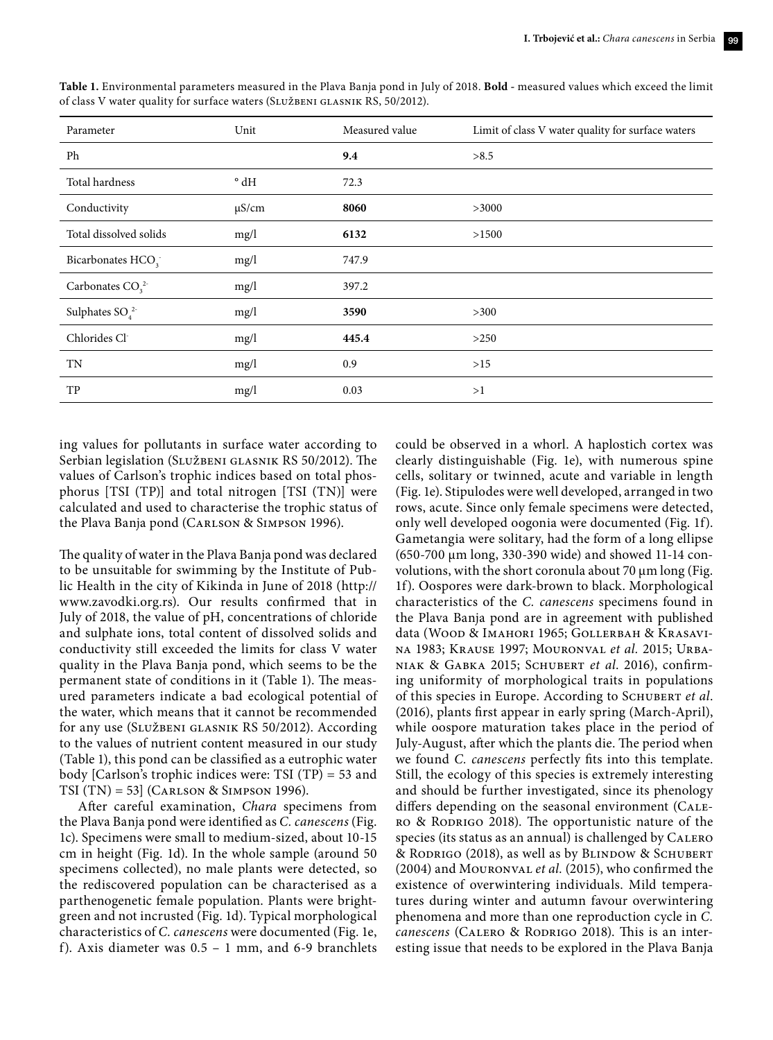| Parameter                     | Unit          | Measured value | Limit of class V water quality for surface waters |
|-------------------------------|---------------|----------------|---------------------------------------------------|
| Ph                            |               | 9.4            | >8.5                                              |
| Total hardness                | $^{\circ}$ dH | 72.3           |                                                   |
| Conductivity                  | $\mu$ S/cm    | 8060           | >3000                                             |
| Total dissolved solids        | mg/l          | 6132           | >1500                                             |
| Bicarbonates HCO <sub>3</sub> | mg/l          | 747.9          |                                                   |
| Carbonates $CO32$             | mg/l          | 397.2          |                                                   |
| Sulphates $SO_4^2$            | mg/l          | 3590           | >300                                              |
| Chlorides Cl-                 | mg/l          | 445.4          | >250                                              |
| TN                            | mg/l          | 0.9            | >15                                               |
| TP                            | mg/l          | 0.03           | >1                                                |

**Table 1.** Environmental parameters measured in the Plava Banja pond in July of 2018. **Bold -** measured values which exceed the limit of class V water quality for surface waters (Službeni glasnik RS, 50/2012).

ing values for pollutants in surface water according to Serbian legislation (Službeni glasnik RS 50/2012). The values of Carlson's trophic indices based on total phosphorus [TSI (TP)] and total nitrogen [TSI (TN)] were calculated and used to characterise the trophic status of the Plava Banja pond (Carlson & Simpson 1996).

The quality of water in the Plava Banja pond was declared to be unsuitable for swimming by the Institute of Public Health in the city of Kikinda in June of 2018 ([http://](http://www.zavodki.org.rs/index.php/component/content/article?id=60:svetski) [www.zavodki.org.rs](http://www.zavodki.org.rs/index.php/component/content/article?id=60:svetski)). Our results confirmed that in July of 2018, the value of pH, concentrations of chloride and sulphate ions, total content of dissolved solids and conductivity still exceeded the limits for class V water quality in the Plava Banja pond, which seems to be the permanent state of conditions in it (Table 1). The measured parameters indicate a bad ecological potential of the water, which means that it cannot be recommended for any use (Službeni glasnik RS 50/2012). According to the values of nutrient content measured in our study (Table 1), this pond can be classified as a eutrophic water body [Carlson's trophic indices were: TSI (TP) = 53 and TSI (TN) = 53] (Carlson & Simpson 1996).

After careful examination, *Chara* specimens from the Plava Banja pond were identified as *C. canescens* (Fig. 1c). Specimens were small to medium-sized, about 10-15 cm in height (Fig. 1d). In the whole sample (around 50 specimens collected), no male plants were detected, so the rediscovered population can be characterised as a parthenogenetic female population. Plants were brightgreen and not incrusted (Fig. 1d). Typical morphological characteristics of *C. canescens* were documented (Fig. 1e, f). Axis diameter was 0.5 – 1 mm, and 6-9 branchlets could be observed in a whorl. A haplostich cortex was clearly distinguishable (Fig. 1e), with numerous spine cells, solitary or twinned, acute and variable in length (Fig. 1e). Stipulodes were well developed, arranged in two rows, acute. Since only female specimens were detected, only well developed oogonia were documented (Fig. 1f). Gametangia were solitary, had the form of a long ellipse (650-700 µm long, 330-390 wide) and showed 11-14 convolutions, with the short coronula about 70  $\mu$ m long (Fig. 1f). Oospores were dark-brown to black. Morphological characteristics of the *C. canescens* specimens found in the Plava Banja pond are in agreement with published data (Wood & Imahori 1965; Gollerbah & Krasavina 1983; Krause 1997; Mouronval *et al.* 2015; Urbaniak & Gabka 2015; Schubert *et al*. 2016), confirming uniformity of morphological traits in populations of this species in Europe. According to Schubert *et al*. (2016), plants first appear in early spring (March-April), while oospore maturation takes place in the period of July-August, after which the plants die. The period when we found *C. canescens* perfectly fits into this template. Still, the ecology of this species is extremely interesting and should be further investigated, since its phenology differs depending on the seasonal environment (Calero & Rodrigo 2018). The opportunistic nature of the species (its status as an annual) is challenged by CALERO & RODRIGO (2018), as well as by BLINDOW & SCHUBERT (2004) and Mouronval *et al.* (2015), who confirmed the existence of overwintering individuals. Mild temperatures during winter and autumn favour overwintering phenomena and more than one reproduction cycle in *C. canescens* (CALERO & RODRIGO 2018). This is an interesting issue that needs to be explored in the Plava Banja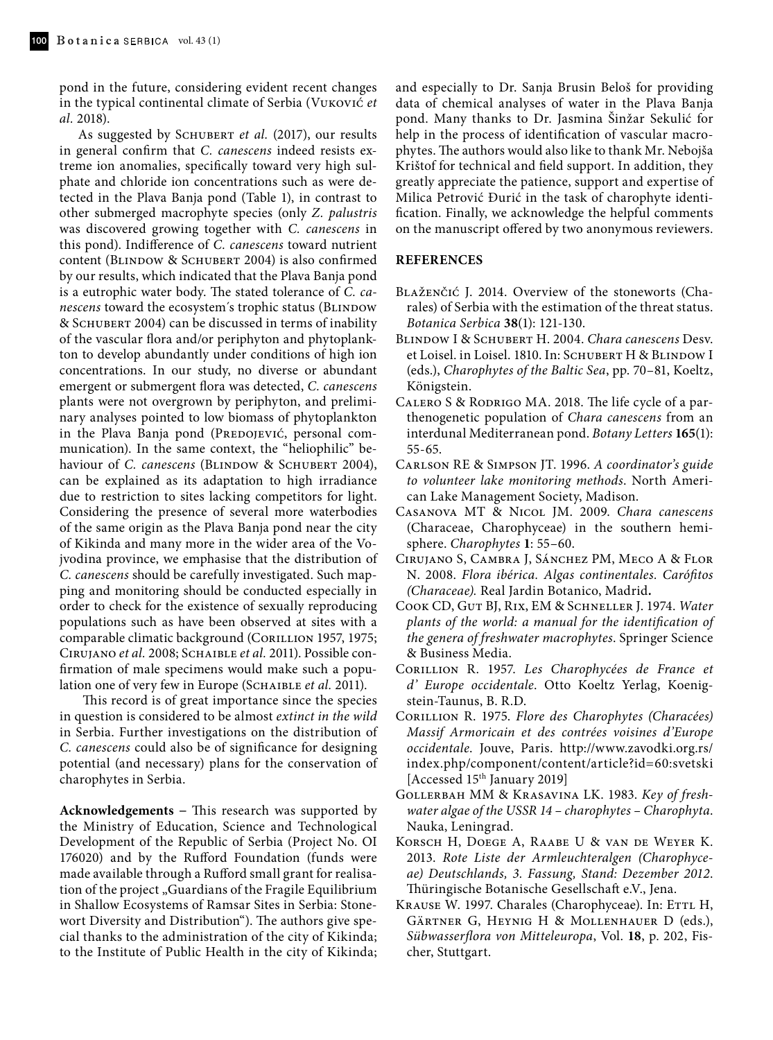pond in the future, considering evident recent changes in the typical continental climate of Serbia (Vuković *et al.* 2018).

As suggested by SCHUBERT *et al.* (2017), our results in general confirm that *C. canescens* indeed resists extreme ion anomalies, specifically toward very high sulphate and chloride ion concentrations such as were detected in the Plava Banja pond (Table 1), in contrast to other submerged macrophyte species (only *Z. palustris* was discovered growing together with *C. canescens* in this pond). Indifference of *C. canescens* toward nutrient content (BLINDOW & SCHUBERT 2004) is also confirmed by our results, which indicated that the Plava Banja pond is a eutrophic water body. The stated tolerance of *C. canescens* toward the ecosystem's trophic status (BLINDOW & Schubert 2004) can be discussed in terms of inability of the vascular flora and/or periphyton and phytoplankton to develop abundantly under conditions of high ion concentrations. In our study, no diverse or abundant emergent or submergent flora was detected, *C. canescens* plants were not overgrown by periphyton, and preliminary analyses pointed to low biomass of phytoplankton in the Plava Banja pond (PREDOJEVIĆ, personal communication). In the same context, the "heliophilic" behaviour of *C. canescens* (BLINDOW & SCHUBERT 2004), can be explained as its adaptation to high irradiance due to restriction to sites lacking competitors for light. Considering the presence of several more waterbodies of the same origin as the Plava Banja pond near the city of Kikinda and many more in the wider area of the Vojvodina province, we emphasise that the distribution of *C. canescens* should be carefully investigated. Such mapping and monitoring should be conducted especially in order to check for the existence of sexually reproducing populations such as have been observed at sites with a comparable climatic background (CORILLION 1957, 1975; Cirujano *et al.* 2008; Schaible *et al.* 2011). Possible confirmation of male specimens would make such a population one of very few in Europe (SCHAIBLE et al. 2011).

This record is of great importance since the species in question is considered to be almost *extinct in the wild* in Serbia. Further investigations on the distribution of *C. canescens* could also be of significance for designing potential (and necessary) plans for the conservation of charophytes in Serbia.

**Acknowledgements −** This research was supported by the Ministry of Education, Science and Technological Development of the Republic of Serbia (Project No. OI 176020) and by the Rufford Foundation (funds were made available through a Rufford small grant for realisation of the project "Guardians of the Fragile Equilibrium in Shallow Ecosystems of Ramsar Sites in Serbia: Stonewort Diversity and Distribution"). The authors give special thanks to the administration of the city of Kikinda; to the Institute of Public Health in the city of Kikinda; and especially to Dr. Sanja Brusin Beloš for providing data of chemical analyses of water in the Plava Banja pond. Many thanks to Dr. Jasmina Šinžar Sekulić for help in the process of identification of vascular macrophytes. The authors would also like to thank Mr. Nebojša Krištof for technical and field support. In addition, they greatly appreciate the patience, support and expertise of Milica Petrović Đurić in the task of charophyte identification. Finally, we acknowledge the helpful comments on the manuscript offered by two anonymous reviewers.

## **REFERENCES**

- Blaženčić J. 2014. Overview of the stoneworts (Charales) of Serbia with the estimation of the threat status. *Botanica Serbica* **38**(1): 121-130.
- Blindow I & Schubert H. 2004. *Chara canescens* Desv. et Loisel. in Loisel. 1810. In: SCHUBERT H & BLINDOW I (eds.), *Charophytes of the Baltic Sea*, pp. 70–81, Koeltz, Königstein.
- Calero S & Rodrigo MA. 2018. The life cycle of a parthenogenetic population of *Chara canescens* from an interdunal Mediterranean pond. *Botany Letters* **165**(1): 55-65.
- Carlson RE & Simpson JT. 1996. *A coordinator's guide to volunteer lake monitoring methods*. North American Lake Management Society, Madison.
- Casanova MT & Nicol JM. 2009. *Chara canescens* (Characeae, Charophyceae) in the southern hemisphere. *Charophytes* **1**: 55–60.
- Cirujano S, Cambra J, Sánchez PM, Meco A & Flor N. 2008. *Flora ibérica. Algas continentales. Carófitos (Characeae).* Real Jardin Botanico, Madrid*.*
- Cook CD, Gut BJ, Rix, EM & Schneller J. 1974. *Water plants of the world: a manual for the identification of the genera of freshwater macrophytes*. Springer Science & Business Media.
- Corillion R. 1957. *Les Charophycées de France et d' Europe occidentale*. Otto Koeltz Yerlag, Koenigstein-Taunus, B. R.D.
- Corillion R. 1975. *Flore des Charophytes (Characées) Massif Armoricain et des contrées voisines d'Europe occidentale*. Jouve, Paris. [http://www.zavodki.org.rs/](http://www.zavodki.org.rs/index.php/component/content/article?id=60:svetski) [index.php/component/content/article?id=60:svetski](http://www.zavodki.org.rs/index.php/component/content/article?id=60:svetski) [Accessed 15<sup>th</sup> January 2019]
- Gollerbah MM & Krasavina LK. 1983. *Key of freshwater algae of the USSR 14 – charophytes – Charophyta*. Nauka, Leningrad.
- Korsch H, Doege A, Raabe U & van de Weyer K. 2013. *Rote Liste der Armleuchteralgen (Charophyceae) Deutschlands, 3. Fassung, Stand: Dezember 2012*. Thüringische Botanische Gesellschaft e.V., Jena.
- KRAUSE W. 1997. Charales (Charophyceae). In: ETTL H, Gärtner G, Heynig H & Mollenhauer D (eds.), *Sübwasserflora von Mitteleuropa*, Vol. **18**, p. 202, Fischer, Stuttgart.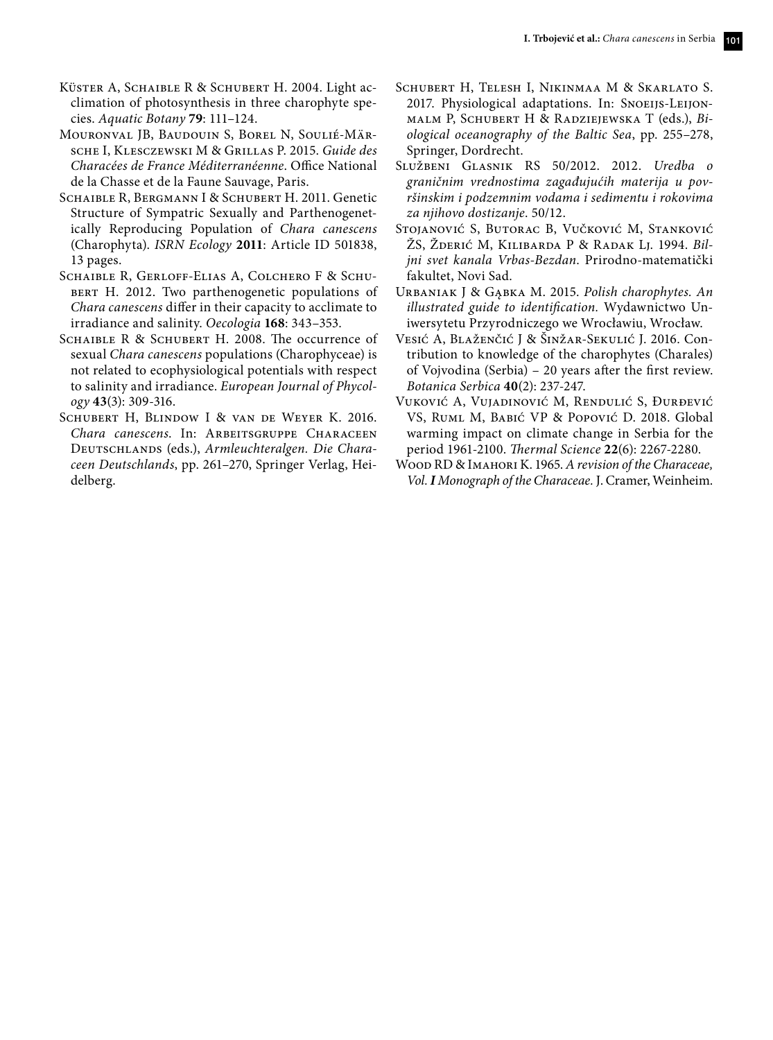- KÜSTER A, SCHAIBLE R & SCHUBERT H. 2004. Light acclimation of photosynthesis in three charophyte species. *Aquatic Botany* **79**: 111–124.
- Mouronval JB, Baudouin S, Borel N, Soulié-Märsche I, Klesczewski M & Grillas P. 2015. *Guide des Characées de France Méditerranéenne*. Office National de la Chasse et de la Faune Sauvage, Paris.
- Schaible R, Bergmann I & Schubert H. 2011. Genetic Structure of Sympatric Sexually and Parthenogenetically Reproducing Population of *Chara canescens* (Charophyta). *ISRN Ecology* **2011**: Article ID 501838, 13 pages.
- Schaible R, Gerloff-Elias A, Colchero F & Schu-BERT H. 2012. Two parthenogenetic populations of *Chara canescens* differ in their capacity to acclimate to irradiance and salinity. *Oecologia* **168**: 343–353.
- SCHAIBLE R & SCHUBERT H. 2008. The occurrence of sexual *Chara canescens* populations (Charophyceae) is not related to ecophysiological potentials with respect to salinity and irradiance. *European Journal of Phycology* **43**(3): 309-316.
- Schubert H, Blindow I & van de Weyer K. 2016. *Chara canescens*. In: Arbeitsgruppe Characeen Deutschlands (eds.), *Armleuchteralgen. Die Characeen Deutschlands*, pp. 261–270, Springer Verlag, Heidelberg.
- Schubert H, Telesh I, Nikinmaa M & Skarlato S. 2017. Physiological adaptations. In: Snoeijs-Leijonmalm P, Schubert H & Radziejewska T (eds.), *Biological oceanography of the Baltic Sea*, pp. 255–278, Springer, Dordrecht.
- Službeni Glasnik RS 50/2012. 2012. *Uredba o graničnim vrednostima zagađujućih materija u površinskim i podzemnim vodama i sedimentu i rokovima za njihovo dostizanje*. 50/12.
- Stojanović S, Butorac B, Vučković M, Stanković ŽS, Žderić M, Kilibarda P & Radak Lj. 1994. *Biljni svet kanala Vrbas-Bezdan*. Prirodno-matematički fakultet, Novi Sad.
- Urbaniak J & Gąbka M. 2015. *Polish charophytes. An illustrated guide to identification.* Wydawnictwo Uniwersytetu Przyrodniczego we Wrocławiu, Wrocław.
- Vesić A, Blaženčić J & Šinžar-Sekulić J. 2016. Contribution to knowledge of the charophytes (Charales) of Vojvodina (Serbia) – 20 years after the first review. *Botanica Serbica* **40**(2): 237-247.
- Vuković A, Vujadinović M, Rendulić S, Đurđević VS, Ruml M, Babić VP & Popović D. 2018. Global warming impact on climate change in Serbia for the period 1961-2100. *Thermal Science* **22**(6): 2267-2280.
- Wood RD & Imahori K. 1965. *A revision of the Characeae, Vol. I Monograph of the Characeae.* J. Cramer, Weinheim.